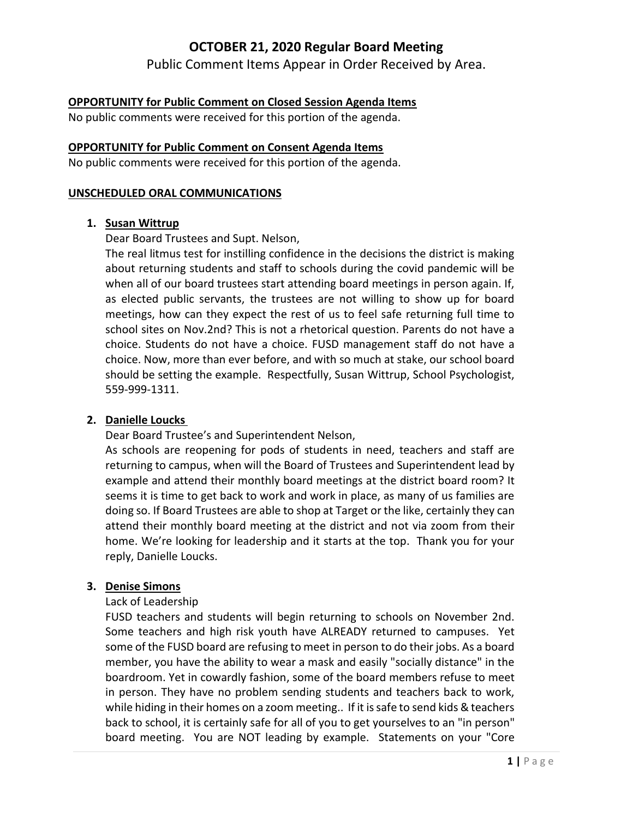Public Comment Items Appear in Order Received by Area.

### **OPPORTUNITY for Public Comment on Closed Session Agenda Items**

No public comments were received for this portion of the agenda.

#### **OPPORTUNITY for Public Comment on Consent Agenda Items**

No public comments were received for this portion of the agenda.

#### **UNSCHEDULED ORAL COMMUNICATIONS**

#### **1. Susan Wittrup**

Dear Board Trustees and Supt. Nelson,

The real litmus test for instilling confidence in the decisions the district is making about returning students and staff to schools during the covid pandemic will be when all of our board trustees start attending board meetings in person again. If, as elected public servants, the trustees are not willing to show up for board meetings, how can they expect the rest of us to feel safe returning full time to school sites on Nov.2nd? This is not a rhetorical question. Parents do not have a choice. Students do not have a choice. FUSD management staff do not have a choice. Now, more than ever before, and with so much at stake, our school board should be setting the example. Respectfully, Susan Wittrup, School Psychologist, 559-999-1311.

### **2. Danielle Loucks**

Dear Board Trustee's and Superintendent Nelson,

As schools are reopening for pods of students in need, teachers and staff are returning to campus, when will the Board of Trustees and Superintendent lead by example and attend their monthly board meetings at the district board room? It seems it is time to get back to work and work in place, as many of us families are doing so. If Board Trustees are able to shop at Target or the like, certainly they can attend their monthly board meeting at the district and not via zoom from their home. We're looking for leadership and it starts at the top. Thank you for your reply, Danielle Loucks.

#### **3. Denise Simons**

#### Lack of Leadership

FUSD teachers and students will begin returning to schools on November 2nd. Some teachers and high risk youth have ALREADY returned to campuses. Yet some of the FUSD board are refusing to meet in person to do their jobs. As a board member, you have the ability to wear a mask and easily "socially distance" in the boardroom. Yet in cowardly fashion, some of the board members refuse to meet in person. They have no problem sending students and teachers back to work, while hiding in their homes on a zoom meeting.. If it is safe to send kids & teachers back to school, it is certainly safe for all of you to get yourselves to an "in person" board meeting. You are NOT leading by example. Statements on your "Core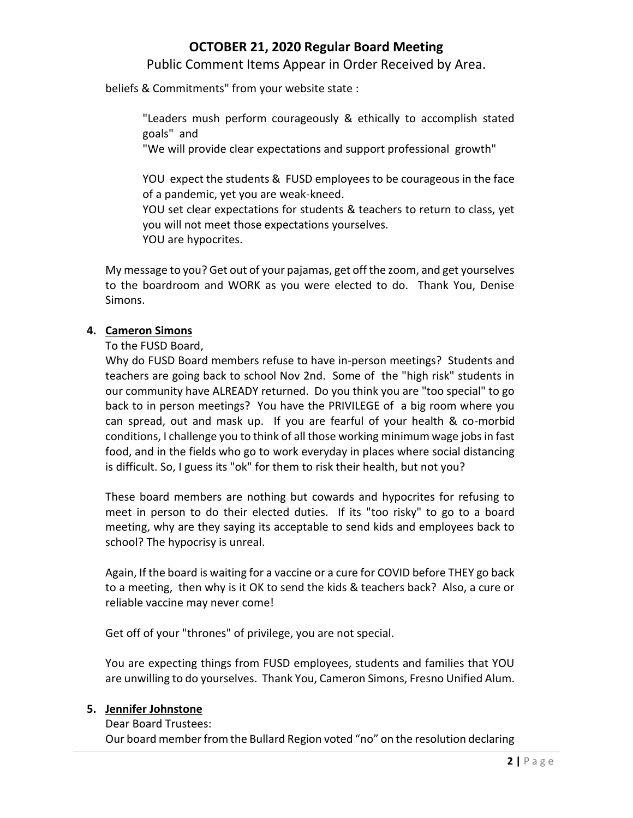Public Comment Items Appear in Order Received by Area.

beliefs & Commitments" from your website state :

"Leaders mush perform courageously & ethically to accomplish stated goals" and

"We will provide clear expectations and support professional growth"

YOU expect the students & FUSD employees to be courageous in the face of a pandemic, yet you are weak-kneed.

YOU set clear expectations for students & teachers to return to class, yet you will not meet those expectations yourselves. YOU are hypocrites.

My message to you? Get out of your pajamas, get off the zoom, and get yourselves to the boardroom and WORK as you were elected to do. Thank You, Denise Simons.

### **4. Cameron Simons**

To the FUSD Board,

Why do FUSD Board members refuse to have in-person meetings? Students and teachers are going back to school Nov 2nd. Some of the "high risk" students in our community have ALREADY returned. Do you think you are "too special" to go back to in person meetings? You have the PRIVILEGE of a big room where you can spread, out and mask up. If you are fearful of your health & co-morbid conditions, I challenge you to think of all those working minimum wage jobs in fast food, and in the fields who go to work everyday in places where social distancing is difficult. So, I guess its "ok" for them to risk their health, but not you?

These board members are nothing but cowards and hypocrites for refusing to meet in person to do their elected duties. If its "too risky" to go to a board meeting, why are they saying its acceptable to send kids and employees back to school? The hypocrisy is unreal.

Again, If the board is waiting for a vaccine or a cure for COVID before THEY go back to a meeting, then why is it OK to send the kids & teachers back? Also, a cure or reliable vaccine may never come!

Get off of your "thrones" of privilege, you are not special.

You are expecting things from FUSD employees, students and families that YOU are unwilling to do yourselves. Thank You, Cameron Simons, Fresno Unified Alum.

### **5. Jennifer Johnstone**

Dear Board Trustees:

Our board member from the Bullard Region voted "no" on the resolution declaring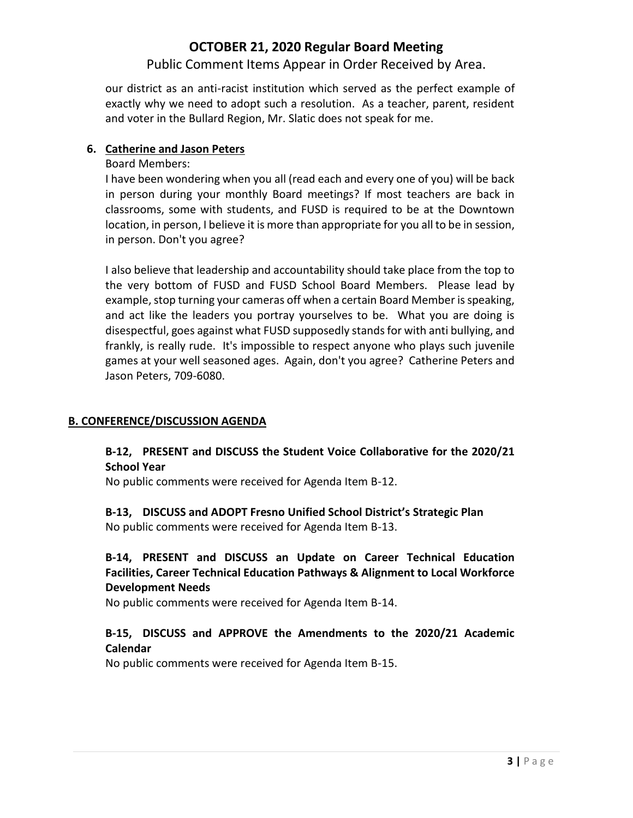Public Comment Items Appear in Order Received by Area.

our district as an anti-racist institution which served as the perfect example of exactly why we need to adopt such a resolution. As a teacher, parent, resident and voter in the Bullard Region, Mr. Slatic does not speak for me.

### **6. Catherine and Jason Peters**

Board Members:

I have been wondering when you all (read each and every one of you) will be back in person during your monthly Board meetings? If most teachers are back in classrooms, some with students, and FUSD is required to be at the Downtown location, in person, I believe it is more than appropriate for you all to be in session, in person. Don't you agree?

I also believe that leadership and accountability should take place from the top to the very bottom of FUSD and FUSD School Board Members. Please lead by example, stop turning your cameras off when a certain Board Member is speaking, and act like the leaders you portray yourselves to be. What you are doing is disespectful, goes against what FUSD supposedly stands for with anti bullying, and frankly, is really rude. It's impossible to respect anyone who plays such juvenile games at your well seasoned ages. Again, don't you agree? Catherine Peters and Jason Peters, 709-6080.

### **B. CONFERENCE/DISCUSSION AGENDA**

## **B-12, PRESENT and DISCUSS the Student Voice Collaborative for the 2020/21 School Year**

No public comments were received for Agenda Item B-12.

### **B-13, DISCUSS and ADOPT Fresno Unified School District's Strategic Plan** No public comments were received for Agenda Item B-13.

## **B-14, PRESENT and DISCUSS an Update on Career Technical Education Facilities, Career Technical Education Pathways & Alignment to Local Workforce Development Needs**

No public comments were received for Agenda Item B-14.

## **B-15, DISCUSS and APPROVE the Amendments to the 2020/21 Academic Calendar**

No public comments were received for Agenda Item B-15.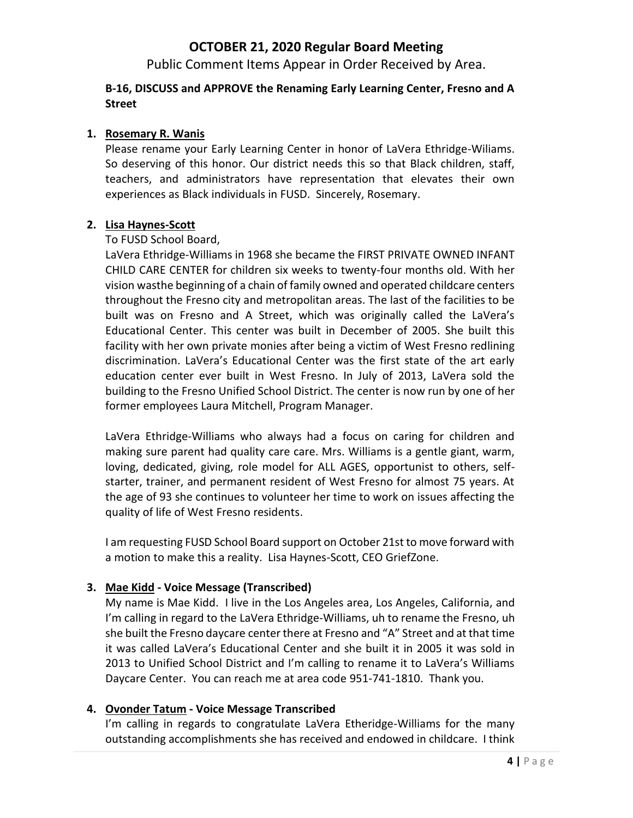Public Comment Items Appear in Order Received by Area.

### **B-16, DISCUSS and APPROVE the Renaming Early Learning Center, Fresno and A Street**

### **1. Rosemary R. Wanis**

Please rename your Early Learning Center in honor of LaVera Ethridge-Wiliams. So deserving of this honor. Our district needs this so that Black children, staff, teachers, and administrators have representation that elevates their own experiences as Black individuals in FUSD. Sincerely, Rosemary.

#### **2. Lisa Haynes-Scott**

#### To FUSD School Board,

LaVera Ethridge-Williams in 1968 she became the FIRST PRIVATE OWNED INFANT CHILD CARE CENTER for children six weeks to twenty-four months old. With her vision wasthe beginning of a chain of family owned and operated childcare centers throughout the Fresno city and metropolitan areas. The last of the facilities to be built was on Fresno and A Street, which was originally called the LaVera's Educational Center. This center was built in December of 2005. She built this facility with her own private monies after being a victim of West Fresno redlining discrimination. LaVera's Educational Center was the first state of the art early education center ever built in West Fresno. In July of 2013, LaVera sold the building to the Fresno Unified School District. The center is now run by one of her former employees Laura Mitchell, Program Manager.

LaVera Ethridge-Williams who always had a focus on caring for children and making sure parent had quality care care. Mrs. Williams is a gentle giant, warm, loving, dedicated, giving, role model for ALL AGES, opportunist to others, selfstarter, trainer, and permanent resident of West Fresno for almost 75 years. At the age of 93 she continues to volunteer her time to work on issues affecting the quality of life of West Fresno residents.

I am requesting FUSD School Board support on October 21st to move forward with a motion to make this a reality. Lisa Haynes-Scott, CEO GriefZone.

### **3. Mae Kidd - Voice Message (Transcribed)**

My name is Mae Kidd. I live in the Los Angeles area, Los Angeles, California, and I'm calling in regard to the LaVera Ethridge-Williams, uh to rename the Fresno, uh she built the Fresno daycare center there at Fresno and "A" Street and at that time it was called LaVera's Educational Center and she built it in 2005 it was sold in 2013 to Unified School District and I'm calling to rename it to LaVera's Williams Daycare Center. You can reach me at area code 951-741-1810. Thank you.

### **4. Ovonder Tatum - Voice Message Transcribed**

I'm calling in regards to congratulate LaVera Etheridge-Williams for the many outstanding accomplishments she has received and endowed in childcare. I think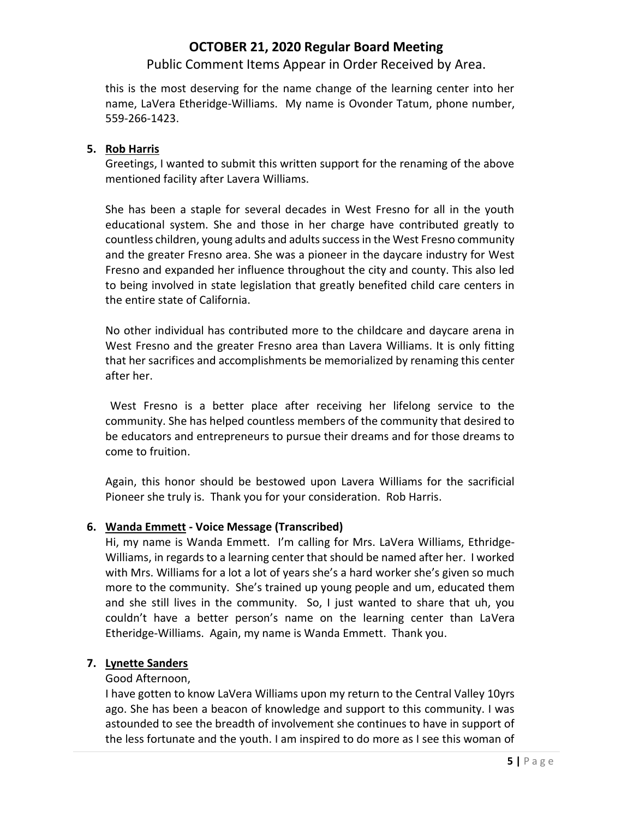Public Comment Items Appear in Order Received by Area.

this is the most deserving for the name change of the learning center into her name, LaVera Etheridge-Williams. My name is Ovonder Tatum, phone number, 559-266-1423.

#### **5. Rob Harris**

Greetings, I wanted to submit this written support for the renaming of the above mentioned facility after Lavera Williams.

She has been a staple for several decades in West Fresno for all in the youth educational system. She and those in her charge have contributed greatly to countless children, young adults and adults success in the West Fresno community and the greater Fresno area. She was a pioneer in the daycare industry for West Fresno and expanded her influence throughout the city and county. This also led to being involved in state legislation that greatly benefited child care centers in the entire state of California.

No other individual has contributed more to the childcare and daycare arena in West Fresno and the greater Fresno area than Lavera Williams. It is only fitting that her sacrifices and accomplishments be memorialized by renaming this center after her.

West Fresno is a better place after receiving her lifelong service to the community. She has helped countless members of the community that desired to be educators and entrepreneurs to pursue their dreams and for those dreams to come to fruition.

Again, this honor should be bestowed upon Lavera Williams for the sacrificial Pioneer she truly is. Thank you for your consideration. Rob Harris.

### **6. Wanda Emmett - Voice Message (Transcribed)**

Hi, my name is Wanda Emmett. I'm calling for Mrs. LaVera Williams, Ethridge-Williams, in regards to a learning center that should be named after her. I worked with Mrs. Williams for a lot a lot of years she's a hard worker she's given so much more to the community. She's trained up young people and um, educated them and she still lives in the community. So, I just wanted to share that uh, you couldn't have a better person's name on the learning center than LaVera Etheridge-Williams. Again, my name is Wanda Emmett. Thank you.

### **7. Lynette Sanders**

### Good Afternoon,

I have gotten to know LaVera Williams upon my return to the Central Valley 10yrs ago. She has been a beacon of knowledge and support to this community. I was astounded to see the breadth of involvement she continues to have in support of the less fortunate and the youth. I am inspired to do more as I see this woman of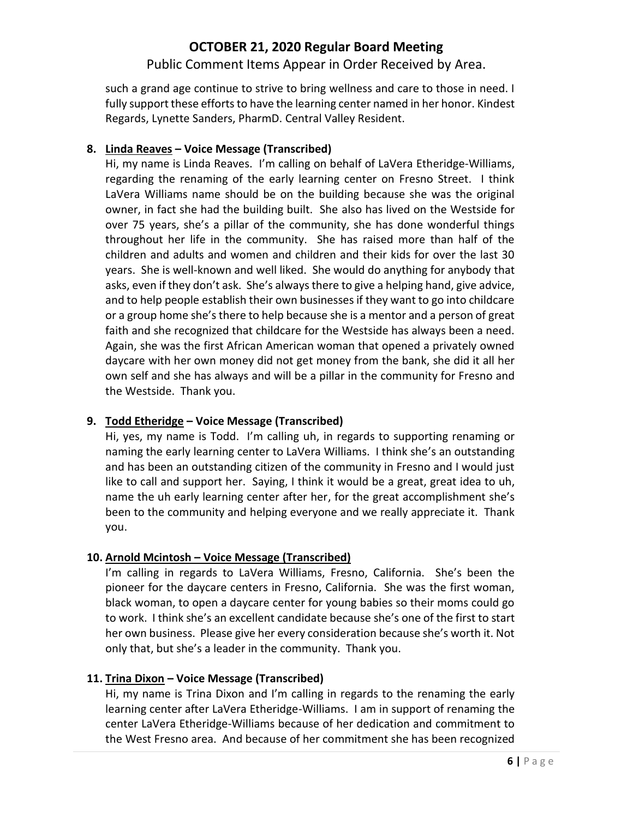Public Comment Items Appear in Order Received by Area.

such a grand age continue to strive to bring wellness and care to those in need. I fully support these efforts to have the learning center named in her honor. Kindest Regards, Lynette Sanders, PharmD. Central Valley Resident.

### **8. Linda Reaves – Voice Message (Transcribed)**

Hi, my name is Linda Reaves. I'm calling on behalf of LaVera Etheridge-Williams, regarding the renaming of the early learning center on Fresno Street. I think LaVera Williams name should be on the building because she was the original owner, in fact she had the building built. She also has lived on the Westside for over 75 years, she's a pillar of the community, she has done wonderful things throughout her life in the community. She has raised more than half of the children and adults and women and children and their kids for over the last 30 years. She is well-known and well liked. She would do anything for anybody that asks, even if they don't ask. She's always there to give a helping hand, give advice, and to help people establish their own businesses if they want to go into childcare or a group home she's there to help because she is a mentor and a person of great faith and she recognized that childcare for the Westside has always been a need. Again, she was the first African American woman that opened a privately owned daycare with her own money did not get money from the bank, she did it all her own self and she has always and will be a pillar in the community for Fresno and the Westside. Thank you.

### **9. Todd Etheridge – Voice Message (Transcribed)**

Hi, yes, my name is Todd. I'm calling uh, in regards to supporting renaming or naming the early learning center to LaVera Williams. I think she's an outstanding and has been an outstanding citizen of the community in Fresno and I would just like to call and support her. Saying, I think it would be a great, great idea to uh, name the uh early learning center after her, for the great accomplishment she's been to the community and helping everyone and we really appreciate it. Thank you.

### **10. Arnold Mcintosh – Voice Message (Transcribed)**

I'm calling in regards to LaVera Williams, Fresno, California. She's been the pioneer for the daycare centers in Fresno, California. She was the first woman, black woman, to open a daycare center for young babies so their moms could go to work. I think she's an excellent candidate because she's one of the first to start her own business. Please give her every consideration because she's worth it. Not only that, but she's a leader in the community. Thank you.

### **11. Trina Dixon – Voice Message (Transcribed)**

Hi, my name is Trina Dixon and I'm calling in regards to the renaming the early learning center after LaVera Etheridge-Williams. I am in support of renaming the center LaVera Etheridge-Williams because of her dedication and commitment to the West Fresno area. And because of her commitment she has been recognized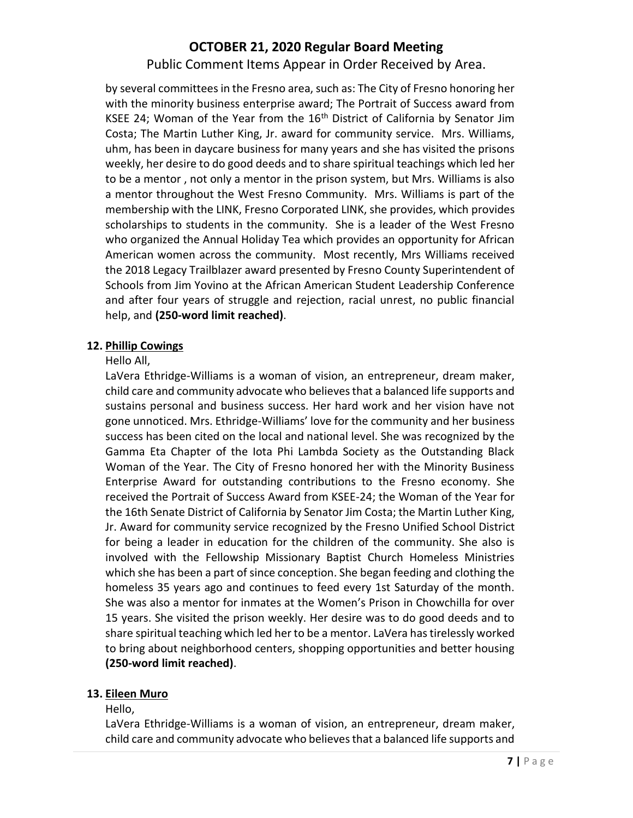Public Comment Items Appear in Order Received by Area.

by several committees in the Fresno area, such as: The City of Fresno honoring her with the minority business enterprise award; The Portrait of Success award from KSEE 24; Woman of the Year from the  $16<sup>th</sup>$  District of California by Senator Jim Costa; The Martin Luther King, Jr. award for community service. Mrs. Williams, uhm, has been in daycare business for many years and she has visited the prisons weekly, her desire to do good deeds and to share spiritual teachings which led her to be a mentor , not only a mentor in the prison system, but Mrs. Williams is also a mentor throughout the West Fresno Community. Mrs. Williams is part of the membership with the LINK, Fresno Corporated LINK, she provides, which provides scholarships to students in the community. She is a leader of the West Fresno who organized the Annual Holiday Tea which provides an opportunity for African American women across the community. Most recently, Mrs Williams received the 2018 Legacy Trailblazer award presented by Fresno County Superintendent of Schools from Jim Yovino at the African American Student Leadership Conference and after four years of struggle and rejection, racial unrest, no public financial help, and **(250-word limit reached)**.

### **12. Phillip Cowings**

### Hello All,

LaVera Ethridge-Williams is a woman of vision, an entrepreneur, dream maker, child care and community advocate who believes that a balanced life supports and sustains personal and business success. Her hard work and her vision have not gone unnoticed. Mrs. Ethridge-Williams' love for the community and her business success has been cited on the local and national level. She was recognized by the Gamma Eta Chapter of the Iota Phi Lambda Society as the Outstanding Black Woman of the Year. The City of Fresno honored her with the Minority Business Enterprise Award for outstanding contributions to the Fresno economy. She received the Portrait of Success Award from KSEE-24; the Woman of the Year for the 16th Senate District of California by Senator Jim Costa; the Martin Luther King, Jr. Award for community service recognized by the Fresno Unified School District for being a leader in education for the children of the community. She also is involved with the Fellowship Missionary Baptist Church Homeless Ministries which she has been a part of since conception. She began feeding and clothing the homeless 35 years ago and continues to feed every 1st Saturday of the month. She was also a mentor for inmates at the Women's Prison in Chowchilla for over 15 years. She visited the prison weekly. Her desire was to do good deeds and to share spiritual teaching which led her to be a mentor. LaVera has tirelessly worked to bring about neighborhood centers, shopping opportunities and better housing **(250-word limit reached)**.

### **13. Eileen Muro**

Hello,

LaVera Ethridge-Williams is a woman of vision, an entrepreneur, dream maker, child care and community advocate who believes that a balanced life supports and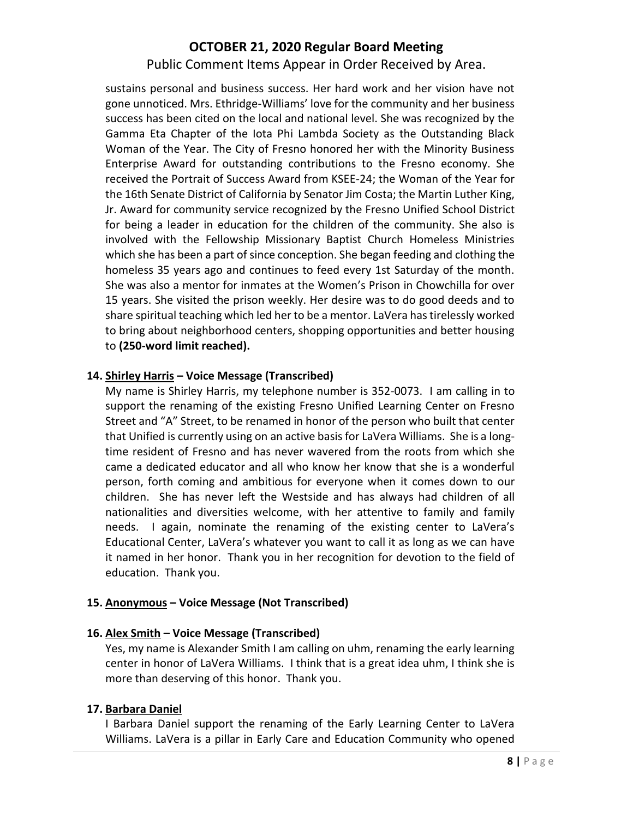Public Comment Items Appear in Order Received by Area.

sustains personal and business success. Her hard work and her vision have not gone unnoticed. Mrs. Ethridge-Williams' love for the community and her business success has been cited on the local and national level. She was recognized by the Gamma Eta Chapter of the Iota Phi Lambda Society as the Outstanding Black Woman of the Year. The City of Fresno honored her with the Minority Business Enterprise Award for outstanding contributions to the Fresno economy. She received the Portrait of Success Award from KSEE-24; the Woman of the Year for the 16th Senate District of California by Senator Jim Costa; the Martin Luther King, Jr. Award for community service recognized by the Fresno Unified School District for being a leader in education for the children of the community. She also is involved with the Fellowship Missionary Baptist Church Homeless Ministries which she has been a part of since conception. She began feeding and clothing the homeless 35 years ago and continues to feed every 1st Saturday of the month. She was also a mentor for inmates at the Women's Prison in Chowchilla for over 15 years. She visited the prison weekly. Her desire was to do good deeds and to share spiritual teaching which led her to be a mentor. LaVera has tirelessly worked to bring about neighborhood centers, shopping opportunities and better housing to **(250-word limit reached).**

### **14. Shirley Harris – Voice Message (Transcribed)**

My name is Shirley Harris, my telephone number is 352-0073. I am calling in to support the renaming of the existing Fresno Unified Learning Center on Fresno Street and "A" Street, to be renamed in honor of the person who built that center that Unified is currently using on an active basis for LaVera Williams. She is a longtime resident of Fresno and has never wavered from the roots from which she came a dedicated educator and all who know her know that she is a wonderful person, forth coming and ambitious for everyone when it comes down to our children. She has never left the Westside and has always had children of all nationalities and diversities welcome, with her attentive to family and family needs. I again, nominate the renaming of the existing center to LaVera's Educational Center, LaVera's whatever you want to call it as long as we can have it named in her honor. Thank you in her recognition for devotion to the field of education. Thank you.

### **15. Anonymous – Voice Message (Not Transcribed)**

### **16. Alex Smith – Voice Message (Transcribed)**

Yes, my name is Alexander Smith I am calling on uhm, renaming the early learning center in honor of LaVera Williams. I think that is a great idea uhm, I think she is more than deserving of this honor. Thank you.

### **17. Barbara Daniel**

I Barbara Daniel support the renaming of the Early Learning Center to LaVera Williams. LaVera is a pillar in Early Care and Education Community who opened